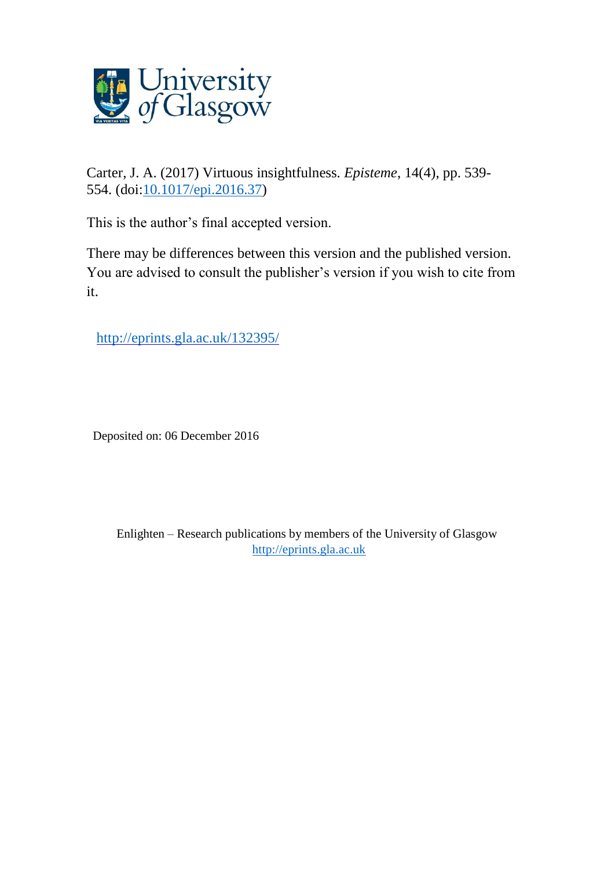

Carter, J. A. (2017) Virtuous insightfulness. *Episteme*, 14(4), pp. 539- 554. (doi[:10.1017/epi.2016.37\)](http://dx.doi.org/10.1017/epi.2016.37)

This is the author's final accepted version.

There may be differences between this version and the published version. You are advised to consult the publisher's version if you wish to cite from it.

<http://eprints.gla.ac.uk/132395/>

Deposited on: 06 December 2016

Enlighten – Research publications by members of the University of Glasgow [http://eprints.gla.ac.uk](http://eprints.gla.ac.uk/)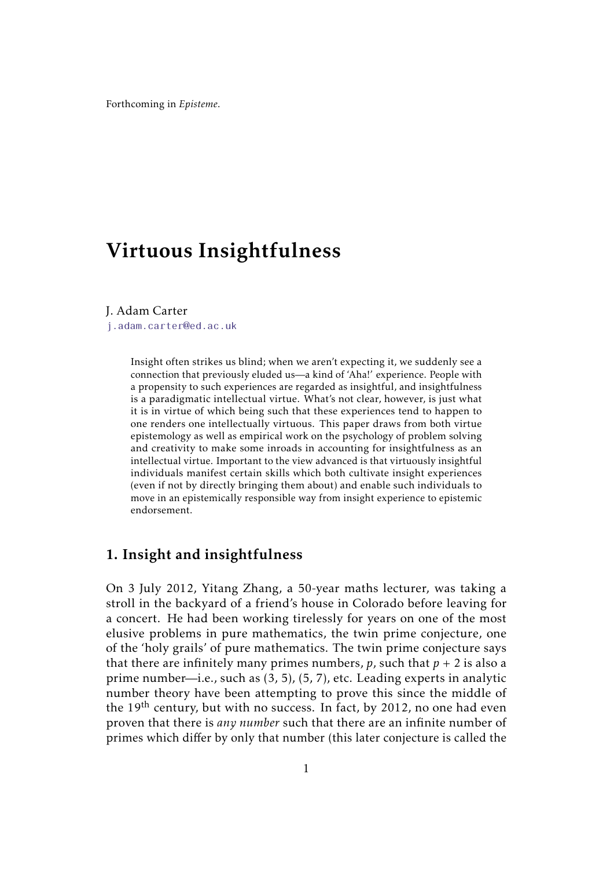Forthcoming in *Episteme*.

# Virtuous Insightfulness

J. Adam Carter

j.adam.carter@ed.ac.uk

Insight often strikes us blind; when we aren't expecting it, we suddenly see a connection that previously eluded us—a kind of 'Aha!' experience. People with a propensity to such experiences are regarded as insightful, and insightfulness is a paradigmatic intellectual virtue. What's not clear, however, is just what it is in virtue of which being such that these experiences tend to happen to one renders one intellectually virtuous. This paper draws from both virtue epistemology as well as empirical work on the psychology of problem solving and creativity to make some inroads in accounting for insightfulness as an intellectual virtue. Important to the view advanced is that virtuously insightful individuals manifest certain skills which both cultivate insight experiences (even if not by directly bringing them about) and enable such individuals to move in an epistemically responsible way from insight experience to epistemic endorsement.

#### 1. Insight and insightfulness

On 3 July 2012, Yitang Zhang, a 50-year maths lecturer, was taking a stroll in the backyard of a friend's house in Colorado before leaving for a concert. He had been working tirelessly for years on one of the most elusive problems in pure mathematics, the twin prime conjecture, one of the 'holy grails' of pure mathematics. The twin prime conjecture says that there are infinitely many primes numbers,  $p$ , such that  $p + 2$  is also a prime number—i.e., such as (3, 5), (5, 7), etc. Leading experts in analytic number theory have been attempting to prove this since the middle of the 19<sup>th</sup> century, but with no success. In fact, by 2012, no one had even proven that there is *any number* such that there are an infinite number of primes which differ by only that number (this later conjecture is called the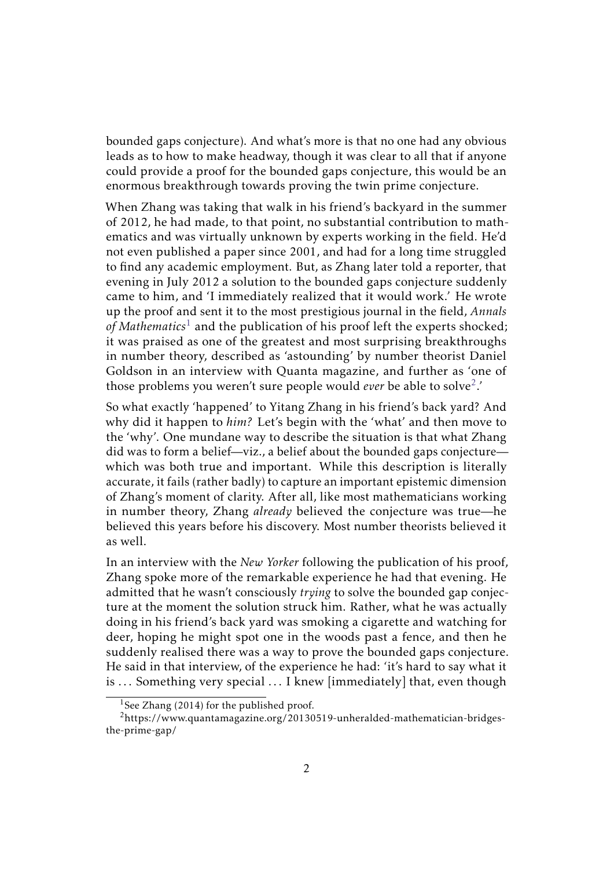bounded gaps conjecture). And what's more is that no one had any obvious leads as to how to make headway, though it was clear to all that if anyone could provide a proof for the bounded gaps conjecture, this would be an enormous breakthrough towards proving the twin prime conjecture.

When Zhang was taking that walk in his friend's backyard in the summer of 2012, he had made, to that point, no substantial contribution to mathematics and was virtually unknown by experts working in the field. He'd not even published a paper since 2001, and had for a long time struggled to find any academic employment. But, as Zhang later told a reporter, that evening in July 2012 a solution to the bounded gaps conjecture suddenly came to him, and 'I immediately realized that it would work.' He wrote up the proof and sent it to the most prestigious journal in the field, *Annals of Mathematics*[1](#page-2-0) and the publication of his proof left the experts shocked; it was praised as one of the greatest and most surprising breakthroughs in number theory, described as 'astounding' by number theorist Daniel Goldson in an interview with Quanta magazine, and further as 'one of those problems you weren't sure people would *ever* be able to solve<sup>[2](#page-2-1)</sup>.'

So what exactly 'happened' to Yitang Zhang in his friend's back yard? And why did it happen to *him?* Let's begin with the 'what' and then move to the 'why'. One mundane way to describe the situation is that what Zhang did was to form a belief—viz., a belief about the bounded gaps conjecture which was both true and important. While this description is literally accurate, it fails (rather badly) to capture an important epistemic dimension of Zhang's moment of clarity. After all, like most mathematicians working in number theory, Zhang *already* believed the conjecture was true—he believed this years before his discovery. Most number theorists believed it as well.

In an interview with the *New Yorker* following the publication of his proof, Zhang spoke more of the remarkable experience he had that evening. He admitted that he wasn't consciously *trying* to solve the bounded gap conjecture at the moment the solution struck him. Rather, what he was actually doing in his friend's back yard was smoking a cigarette and watching for deer, hoping he might spot one in the woods past a fence, and then he suddenly realised there was a way to prove the bounded gaps conjecture. He said in that interview, of the experience he had: 'it's hard to say what it is ... Something very special ... I knew [immediately] that, even though

<span id="page-2-1"></span><span id="page-2-0"></span><sup>&</sup>lt;sup>1</sup>See Zhang (2014) for the published proof.

<sup>2</sup>https://www.quantamagazine.org/20130519-unheralded-mathematician-bridgesthe-prime-gap/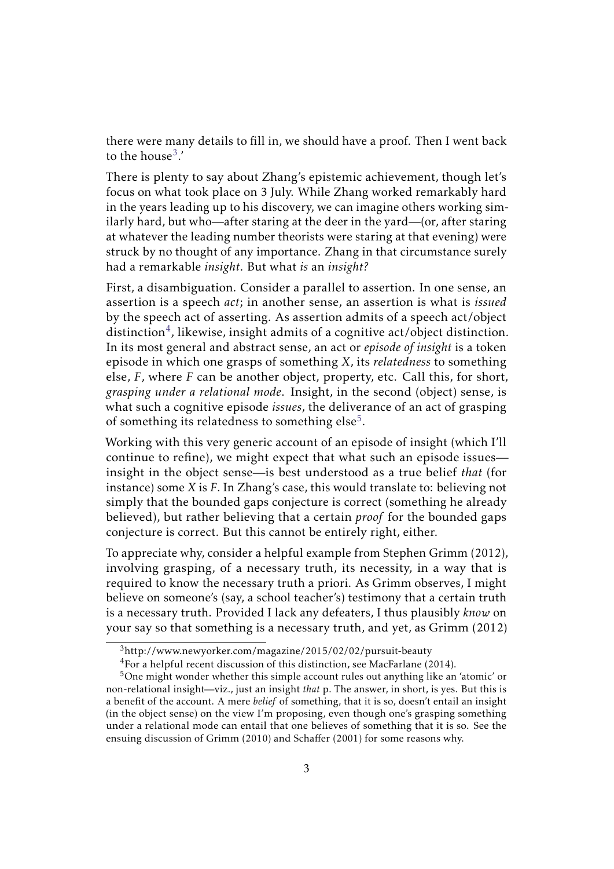there were many details to fill in, we should have a proof. Then I went back to the house<sup>[3](#page-3-0)</sup>.'

There is plenty to say about Zhang's epistemic achievement, though let's focus on what took place on 3 July. While Zhang worked remarkably hard in the years leading up to his discovery, we can imagine others working similarly hard, but who—after staring at the deer in the yard—(or, after staring at whatever the leading number theorists were staring at that evening) were struck by no thought of any importance. Zhang in that circumstance surely had a remarkable *insight*. But what *is* an *insight?*

First, a disambiguation. Consider a parallel to assertion. In one sense, an assertion is a speech *act*; in another sense, an assertion is what is *issued* by the speech act of asserting. As assertion admits of a speech act/object distinction $^4$  $^4$ , likewise, insight admits of a cognitive act/object distinction. In its most general and abstract sense, an act or *episode of insight* is a token episode in which one grasps of something *X*, its *relatedness* to something else, *F*, where *F* can be another object, property, etc. Call this, for short, *grasping under a relational mode*. Insight, in the second (object) sense, is what such a cognitive episode *issues*, the deliverance of an act of grasping of something its relatedness to something else<sup>[5](#page-3-2)</sup>.

Working with this very generic account of an episode of insight (which I'll continue to refine), we might expect that what such an episode issues insight in the object sense—is best understood as a true belief *that* (for instance) some *X* is *F*. In Zhang's case, this would translate to: believing not simply that the bounded gaps conjecture is correct (something he already believed), but rather believing that a certain *proof* for the bounded gaps conjecture is correct. But this cannot be entirely right, either.

To appreciate why, consider a helpful example from Stephen Grimm (2012), involving grasping, of a necessary truth, its necessity, in a way that is required to know the necessary truth a priori. As Grimm observes, I might believe on someone's (say, a school teacher's) testimony that a certain truth is a necessary truth. Provided I lack any defeaters, I thus plausibly *know* on your say so that something is a necessary truth, and yet, as Grimm (2012)

<span id="page-3-0"></span><sup>3</sup>http://www.newyorker.com/magazine/2015/02/02/pursuit-beauty

<span id="page-3-2"></span><span id="page-3-1"></span><sup>4</sup>For a helpful recent discussion of this distinction, see MacFarlane (2014).

<sup>&</sup>lt;sup>5</sup>One might wonder whether this simple account rules out anything like an 'atomic' or non-relational insight—viz., just an insight *that* p. The answer, in short, is yes. But this is a benefit of the account. A mere *belief* of something, that it is so, doesn't entail an insight (in the object sense) on the view I'm proposing, even though one's grasping something under a relational mode can entail that one believes of something that it is so. See the ensuing discussion of Grimm (2010) and Schaffer (2001) for some reasons why.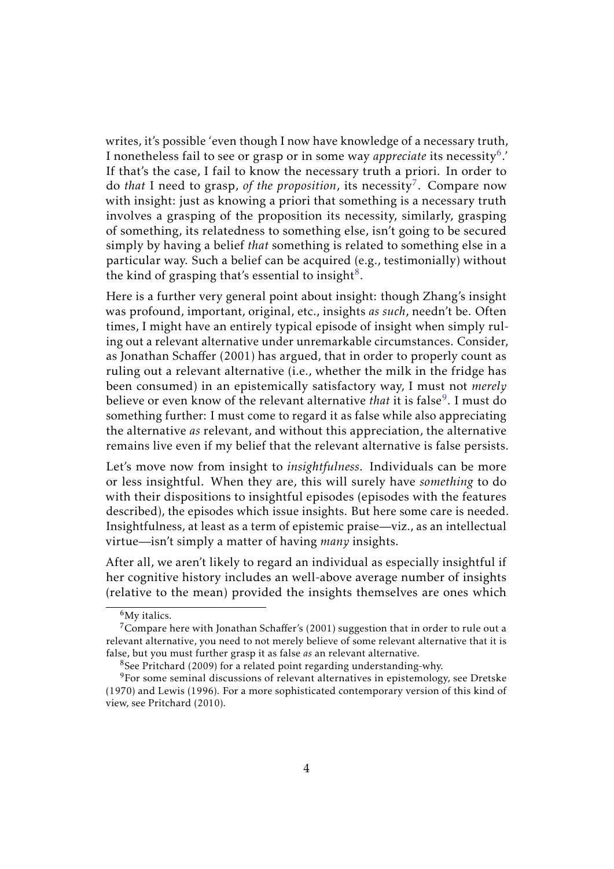writes, it's possible 'even though I now have knowledge of a necessary truth, I nonetheless fail to see or grasp or in some way *appreciate* its necessity<sup>[6](#page-4-0)</sup>.' If that's the case, I fail to know the necessary truth a priori. In order to do *that* I need to grasp, *of the proposition*, its necessity<sup>[7](#page-4-1)</sup>. Compare now with insight: just as knowing a priori that something is a necessary truth involves a grasping of the proposition its necessity, similarly, grasping of something, its relatedness to something else, isn't going to be secured simply by having a belief *that* something is related to something else in a particular way. Such a belief can be acquired (e.g., testimonially) without the kind of grasping that's essential to insight $^8$  $^8$ .

Here is a further very general point about insight: though Zhang's insight was profound, important, original, etc., insights *as such*, needn't be. Often times, I might have an entirely typical episode of insight when simply ruling out a relevant alternative under unremarkable circumstances. Consider, as Jonathan Schaffer (2001) has argued, that in order to properly count as ruling out a relevant alternative (i.e., whether the milk in the fridge has been consumed) in an epistemically satisfactory way, I must not *merely* believe or even know of the relevant alternative *that* it is false<sup>[9](#page-4-3)</sup>. I must do something further: I must come to regard it as false while also appreciating the alternative *as* relevant, and without this appreciation, the alternative remains live even if my belief that the relevant alternative is false persists.

Let's move now from insight to *insightfulness*. Individuals can be more or less insightful. When they are, this will surely have *something* to do with their dispositions to insightful episodes (episodes with the features described), the episodes which issue insights. But here some care is needed. Insightfulness, at least as a term of epistemic praise—viz., as an intellectual virtue—isn't simply a matter of having *many* insights.

After all, we aren't likely to regard an individual as especially insightful if her cognitive history includes an well-above average number of insights (relative to the mean) provided the insights themselves are ones which

<span id="page-4-1"></span><span id="page-4-0"></span><sup>&</sup>lt;sup>6</sup>My italics.

 $7$ Compare here with Jonathan Schaffer's (2001) suggestion that in order to rule out a relevant alternative, you need to not merely believe of some relevant alternative that it is false, but you must further grasp it as false *as* an relevant alternative.

<span id="page-4-3"></span><span id="page-4-2"></span><sup>&</sup>lt;sup>8</sup>See Pritchard (2009) for a related point regarding understanding-why.

<sup>9</sup>For some seminal discussions of relevant alternatives in epistemology, see Dretske (1970) and Lewis (1996). For a more sophisticated contemporary version of this kind of view, see Pritchard (2010).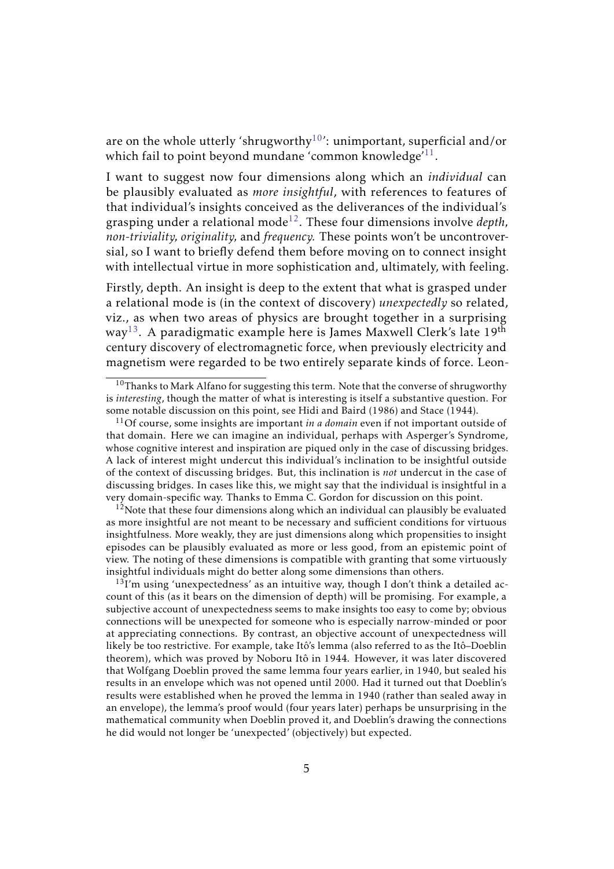are on the whole utterly 'shrugworthy<sup>[10](#page-5-0)</sup>': unimportant, superficial and/or which fail to point beyond mundane 'common knowledge' $^{11}.$  $^{11}.$  $^{11}.$ 

I want to suggest now four dimensions along which an *individual* can be plausibly evaluated as *more insightful*, with references to features of that individual's insights conceived as the deliverances of the individual's grasping under a relational mode[12](#page-5-2). These four dimensions involve *depth, non-triviality, originality,* and *frequency.* These points won't be uncontroversial, so I want to briefly defend them before moving on to connect insight with intellectual virtue in more sophistication and, ultimately, with feeling.

Firstly, depth. An insight is deep to the extent that what is grasped under a relational mode is (in the context of discovery) *unexpectedly* so related, viz., as when two areas of physics are brought together in a surprising way<sup>[13](#page-5-3)</sup>. A paradigmatic example here is James Maxwell Clerk's late  $19<sup>th</sup>$ century discovery of electromagnetic force, when previously electricity and magnetism were regarded to be two entirely separate kinds of force. Leon-

<span id="page-5-2"></span> $12$ Note that these four dimensions along which an individual can plausibly be evaluated as more insightful are not meant to be necessary and sufficient conditions for virtuous insightfulness. More weakly, they are just dimensions along which propensities to insight episodes can be plausibly evaluated as more or less good, from an epistemic point of view. The noting of these dimensions is compatible with granting that some virtuously insightful individuals might do better along some dimensions than others.

<span id="page-5-3"></span> $13$ I'm using 'unexpectedness' as an intuitive way, though I don't think a detailed account of this (as it bears on the dimension of depth) will be promising. For example, a subjective account of unexpectedness seems to make insights too easy to come by; obvious connections will be unexpected for someone who is especially narrow-minded or poor at appreciating connections. By contrast, an objective account of unexpectedness will likely be too restrictive. For example, take Itô's lemma (also referred to as the Itô–Doeblin theorem), which was proved by Noboru Itô in 1944. However, it was later discovered that Wolfgang Doeblin proved the same lemma four years earlier, in 1940, but sealed his results in an envelope which was not opened until 2000. Had it turned out that Doeblin's results were established when he proved the lemma in 1940 (rather than sealed away in an envelope), the lemma's proof would (four years later) perhaps be unsurprising in the mathematical community when Doeblin proved it, and Doeblin's drawing the connections he did would not longer be 'unexpected' (objectively) but expected.

<span id="page-5-0"></span> $10$ Thanks to Mark Alfano for suggesting this term. Note that the converse of shrugworthy is *interesting*, though the matter of what is interesting is itself a substantive question. For some notable discussion on this point, see Hidi and Baird (1986) and Stace (1944).

<span id="page-5-1"></span><sup>11</sup>Of course, some insights are important *in a domain* even if not important outside of that domain. Here we can imagine an individual, perhaps with Asperger's Syndrome, whose cognitive interest and inspiration are piqued only in the case of discussing bridges. A lack of interest might undercut this individual's inclination to be insightful outside of the context of discussing bridges. But, this inclination is *not* undercut in the case of discussing bridges. In cases like this, we might say that the individual is insightful in a very domain-specific way. Thanks to Emma C. Gordon for discussion on this point.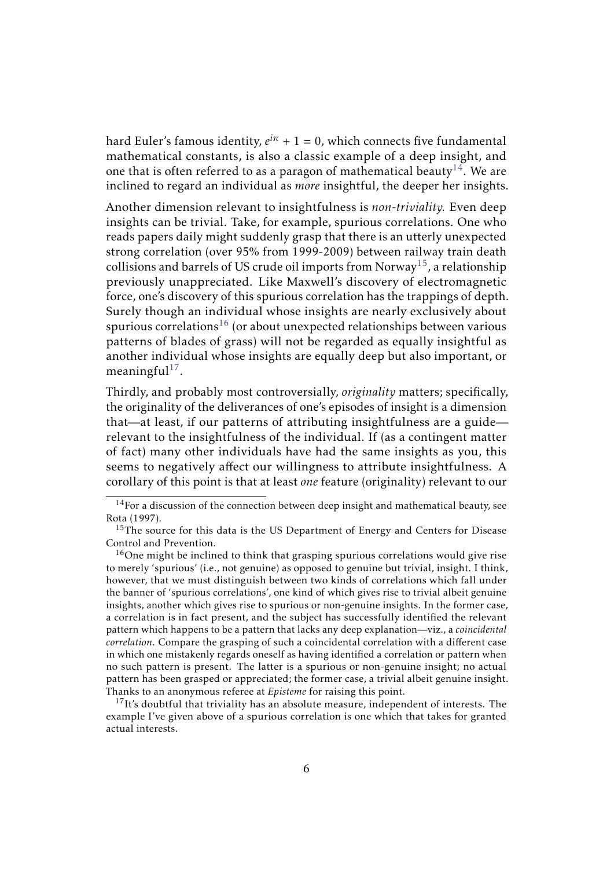hard Euler's famous identity, *e <sup>i</sup><sup>π</sup>* + 1 = 0, which connects five fundamental mathematical constants, is also a classic example of a deep insight, and one that is often referred to as a paragon of mathematical beauty<sup>[14](#page-6-0)</sup>. We are inclined to regard an individual as *more* insightful, the deeper her insights.

Another dimension relevant to insightfulness is *non-triviality.* Even deep insights can be trivial. Take, for example, spurious correlations. One who reads papers daily might suddenly grasp that there is an utterly unexpected strong correlation (over 95% from 1999-2009) between railway train death collisions and barrels of US crude oil imports from Norway<sup>[15](#page-6-1)</sup>, a relationship previously unappreciated. Like Maxwell's discovery of electromagnetic force, one's discovery of this spurious correlation has the trappings of depth. Surely though an individual whose insights are nearly exclusively about spurious correlations<sup>[16](#page-6-2)</sup> (or about unexpected relationships between various patterns of blades of grass) will not be regarded as equally insightful as another individual whose insights are equally deep but also important, or meaningful $^{17}$  $^{17}$  $^{17}$ .

Thirdly, and probably most controversially, *originality* matters; specifically, the originality of the deliverances of one's episodes of insight is a dimension that—at least, if our patterns of attributing insightfulness are a guide relevant to the insightfulness of the individual. If (as a contingent matter of fact) many other individuals have had the same insights as you, this seems to negatively affect our willingness to attribute insightfulness. A corollary of this point is that at least *one* feature (originality) relevant to our

<span id="page-6-0"></span> $14$ For a discussion of the connection between deep insight and mathematical beauty, see Rota (1997).

<span id="page-6-1"></span> $15$ The source for this data is the US Department of Energy and Centers for Disease Control and Prevention.

<span id="page-6-2"></span> $160n$ e might be inclined to think that grasping spurious correlations would give rise to merely 'spurious' (i.e., not genuine) as opposed to genuine but trivial, insight. I think, however, that we must distinguish between two kinds of correlations which fall under the banner of 'spurious correlations', one kind of which gives rise to trivial albeit genuine insights, another which gives rise to spurious or non-genuine insights. In the former case, a correlation is in fact present, and the subject has successfully identified the relevant pattern which happens to be a pattern that lacks any deep explanation—viz., a *coincidental correlation*. Compare the grasping of such a coincidental correlation with a different case in which one mistakenly regards oneself as having identified a correlation or pattern when no such pattern is present. The latter is a spurious or non-genuine insight; no actual pattern has been grasped or appreciated; the former case, a trivial albeit genuine insight. Thanks to an anonymous referee at *Episteme* for raising this point.

<span id="page-6-3"></span> $17$ It's doubtful that triviality has an absolute measure, independent of interests. The example I've given above of a spurious correlation is one which that takes for granted actual interests.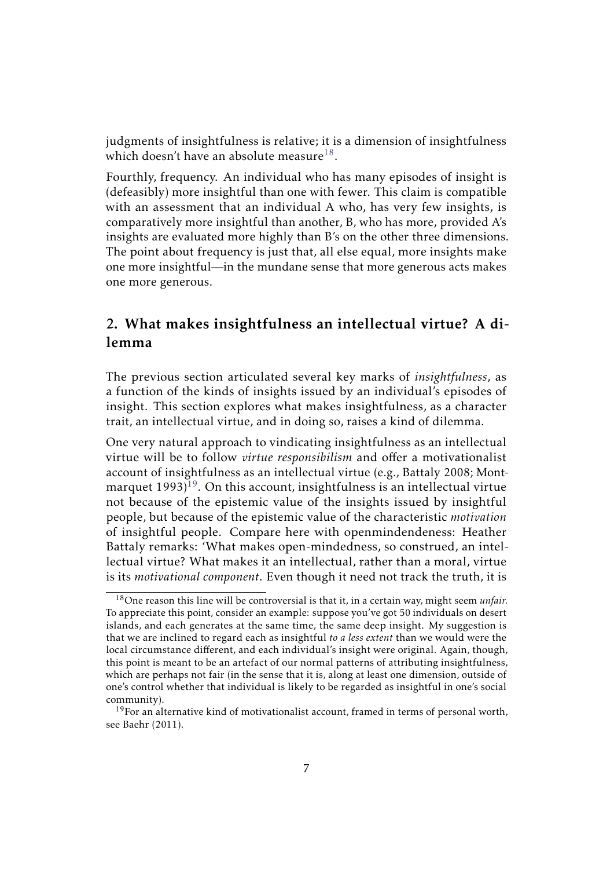judgments of insightfulness is relative; it is a dimension of insightfulness which doesn't have an absolute measure $^{18}$  $^{18}$  $^{18}$ .

Fourthly, frequency. An individual who has many episodes of insight is (defeasibly) more insightful than one with fewer. This claim is compatible with an assessment that an individual A who, has very few insights, is comparatively more insightful than another, B, who has more, provided A's insights are evaluated more highly than B's on the other three dimensions. The point about frequency is just that, all else equal, more insights make one more insightful—in the mundane sense that more generous acts makes one more generous.

## 2. What makes insightfulness an intellectual virtue? A dilemma

The previous section articulated several key marks of *insightfulness*, as a function of the kinds of insights issued by an individual's episodes of insight. This section explores what makes insightfulness, as a character trait, an intellectual virtue, and in doing so, raises a kind of dilemma.

One very natural approach to vindicating insightfulness as an intellectual virtue will be to follow *virtue responsibilism* and offer a motivationalist account of insightfulness as an intellectual virtue (e.g., Battaly 2008; Montmarquet  $1993$  $1993$ <sup>19</sup>. On this account, insightfulness is an intellectual virtue not because of the epistemic value of the insights issued by insightful people, but because of the epistemic value of the characteristic *motivation* of insightful people. Compare here with openmindendeness: Heather Battaly remarks: 'What makes open-mindedness, so construed, an intellectual virtue? What makes it an intellectual, rather than a moral, virtue is its *motivational component*. Even though it need not track the truth, it is

<span id="page-7-0"></span><sup>18</sup>One reason this line will be controversial is that it, in a certain way, might seem *unfair.* To appreciate this point, consider an example: suppose you've got 50 individuals on desert islands, and each generates at the same time, the same deep insight. My suggestion is that we are inclined to regard each as insightful *to a less extent* than we would were the local circumstance different, and each individual's insight were original. Again, though, this point is meant to be an artefact of our normal patterns of attributing insightfulness, which are perhaps not fair (in the sense that it is, along at least one dimension, outside of one's control whether that individual is likely to be regarded as insightful in one's social community).

<span id="page-7-1"></span> $19$ For an alternative kind of motivationalist account, framed in terms of personal worth, see Baehr (2011).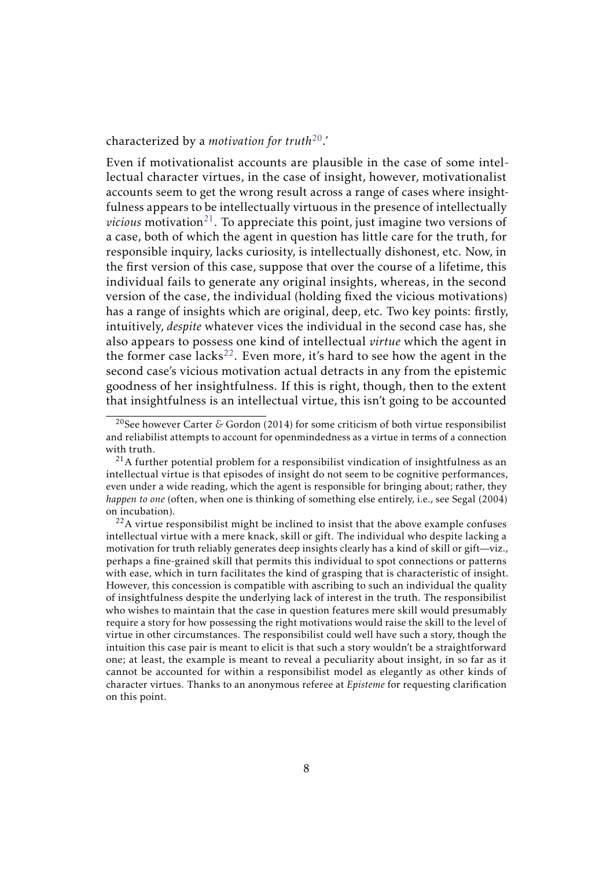#### characterized by a *motivation for truth*[20](#page-8-0).'

Even if motivationalist accounts are plausible in the case of some intellectual character virtues, in the case of insight, however, motivationalist accounts seem to get the wrong result across a range of cases where insightfulness appears to be intellectually virtuous in the presence of intellectually *vicious* motivation<sup>[21](#page-8-1)</sup>. To appreciate this point, just imagine two versions of a case, both of which the agent in question has little care for the truth, for responsible inquiry, lacks curiosity, is intellectually dishonest, etc. Now, in the first version of this case, suppose that over the course of a lifetime, this individual fails to generate any original insights, whereas, in the second version of the case, the individual (holding fixed the vicious motivations) has a range of insights which are original, deep, etc. Two key points: firstly, intuitively, *despite* whatever vices the individual in the second case has, she also appears to possess one kind of intellectual *virtue* which the agent in the former case lacks<sup>[22](#page-8-2)</sup>. Even more, it's hard to see how the agent in the second case's vicious motivation actual detracts in any from the epistemic goodness of her insightfulness. If this is right, though, then to the extent that insightfulness is an intellectual virtue, this isn't going to be accounted

<span id="page-8-0"></span><sup>20</sup>See however Carter *&* Gordon (2014) for some criticism of both virtue responsibilist and reliabilist attempts to account for openmindedness as a virtue in terms of a connection with truth.

<span id="page-8-1"></span> $21A$  further potential problem for a responsibilist vindication of insightfulness as an intellectual virtue is that episodes of insight do not seem to be cognitive performances, even under a wide reading, which the agent is responsible for bringing about; rather, they *happen to one* (often, when one is thinking of something else entirely, i.e., see Segal (2004) on incubation).

<span id="page-8-2"></span> $22A$  virtue responsibilist might be inclined to insist that the above example confuses intellectual virtue with a mere knack, skill or gift. The individual who despite lacking a motivation for truth reliably generates deep insights clearly has a kind of skill or gift—viz., perhaps a fine-grained skill that permits this individual to spot connections or patterns with ease, which in turn facilitates the kind of grasping that is characteristic of insight. However, this concession is compatible with ascribing to such an individual the quality of insightfulness despite the underlying lack of interest in the truth. The responsibilist who wishes to maintain that the case in question features mere skill would presumably require a story for how possessing the right motivations would raise the skill to the level of virtue in other circumstances. The responsibilist could well have such a story, though the intuition this case pair is meant to elicit is that such a story wouldn't be a straightforward one; at least, the example is meant to reveal a peculiarity about insight, in so far as it cannot be accounted for within a responsibilist model as elegantly as other kinds of character virtues. Thanks to an anonymous referee at *Episteme* for requesting clarification on this point.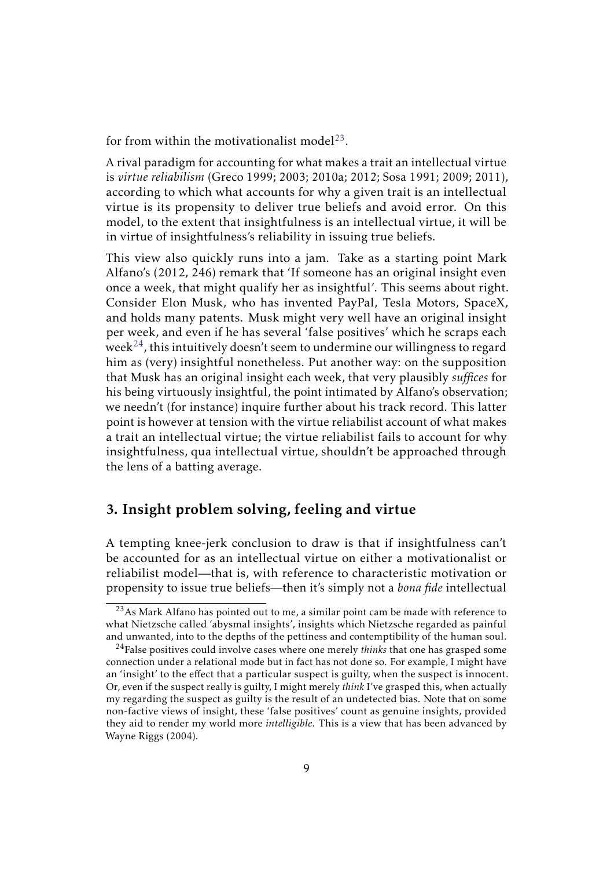for from within the motivationalist model<sup>[23](#page-9-0)</sup>.

A rival paradigm for accounting for what makes a trait an intellectual virtue is *virtue reliabilism* (Greco 1999; 2003; 2010a; 2012; Sosa 1991; 2009; 2011), according to which what accounts for why a given trait is an intellectual virtue is its propensity to deliver true beliefs and avoid error. On this model, to the extent that insightfulness is an intellectual virtue, it will be in virtue of insightfulness's reliability in issuing true beliefs.

This view also quickly runs into a jam. Take as a starting point Mark Alfano's (2012, 246) remark that 'If someone has an original insight even once a week, that might qualify her as insightful'. This seems about right. Consider Elon Musk, who has invented PayPal, Tesla Motors, SpaceX, and holds many patents. Musk might very well have an original insight per week, and even if he has several 'false positives' which he scraps each week<sup>[24](#page-9-1)</sup>, this intuitively doesn't seem to undermine our willingness to regard him as (very) insightful nonetheless. Put another way: on the supposition that Musk has an original insight each week, that very plausibly *suffices* for his being virtuously insightful, the point intimated by Alfano's observation; we needn't (for instance) inquire further about his track record. This latter point is however at tension with the virtue reliabilist account of what makes a trait an intellectual virtue; the virtue reliabilist fails to account for why insightfulness, qua intellectual virtue, shouldn't be approached through the lens of a batting average.

#### 3. Insight problem solving, feeling and virtue

A tempting knee-jerk conclusion to draw is that if insightfulness can't be accounted for as an intellectual virtue on either a motivationalist or reliabilist model—that is, with reference to characteristic motivation or propensity to issue true beliefs—then it's simply not a *bona fide* intellectual

<span id="page-9-0"></span><sup>23</sup>As Mark Alfano has pointed out to me, a similar point cam be made with reference to what Nietzsche called 'abysmal insights', insights which Nietzsche regarded as painful and unwanted, into to the depths of the pettiness and contemptibility of the human soul.

<span id="page-9-1"></span><sup>24</sup>False positives could involve cases where one merely *thinks* that one has grasped some connection under a relational mode but in fact has not done so. For example, I might have an 'insight' to the effect that a particular suspect is guilty, when the suspect is innocent. Or, even if the suspect really is guilty, I might merely *think* I've grasped this, when actually my regarding the suspect as guilty is the result of an undetected bias. Note that on some non-factive views of insight, these 'false positives' count as genuine insights, provided they aid to render my world more *intelligible*. This is a view that has been advanced by Wayne Riggs (2004).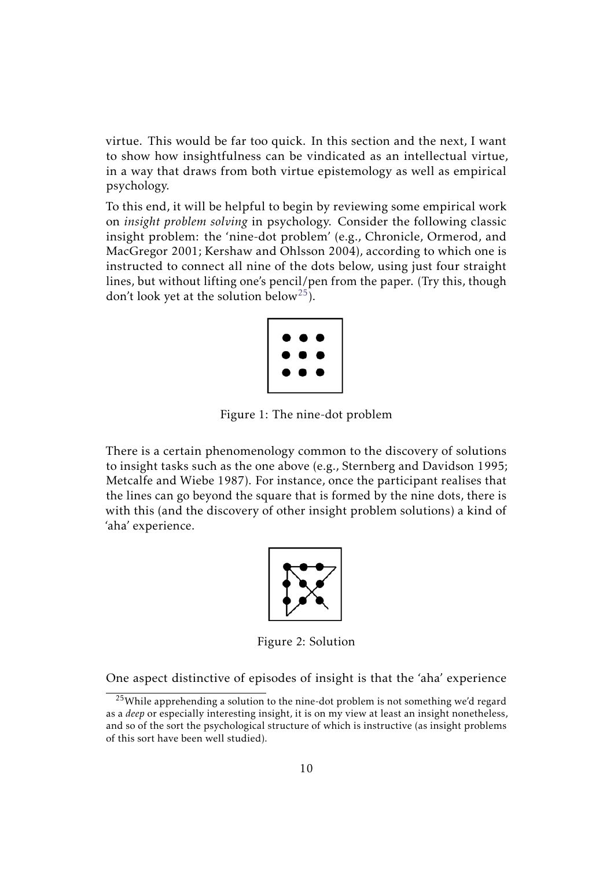virtue. This would be far too quick. In this section and the next, I want to show how insightfulness can be vindicated as an intellectual virtue, in a way that draws from both virtue epistemology as well as empirical psychology.

To this end, it will be helpful to begin by reviewing some empirical work on *insight problem solving* in psychology. Consider the following classic insight problem: the 'nine-dot problem' (e.g., Chronicle, Ormerod, and MacGregor 2001; Kershaw and Ohlsson 2004), according to which one is instructed to connect all nine of the dots below, using just four straight lines, but without lifting one's pencil/pen from the paper. (Try this, though don't look yet at the solution below<sup>[25](#page-10-0)</sup>).



Figure 1: The nine-dot problem

There is a certain phenomenology common to the discovery of solutions to insight tasks such as the one above (e.g., Sternberg and Davidson 1995; Metcalfe and Wiebe 1987). For instance, once the participant realises that the lines can go beyond the square that is formed by the nine dots, there is with this (and the discovery of other insight problem solutions) a kind of 'aha' experience.



Figure 2: Solution

One aspect distinctive of episodes of insight is that the 'aha' experience

<span id="page-10-0"></span><sup>&</sup>lt;sup>25</sup>While apprehending a solution to the nine-dot problem is not something we'd regard as a *deep* or especially interesting insight, it is on my view at least an insight nonetheless, and so of the sort the psychological structure of which is instructive (as insight problems of this sort have been well studied).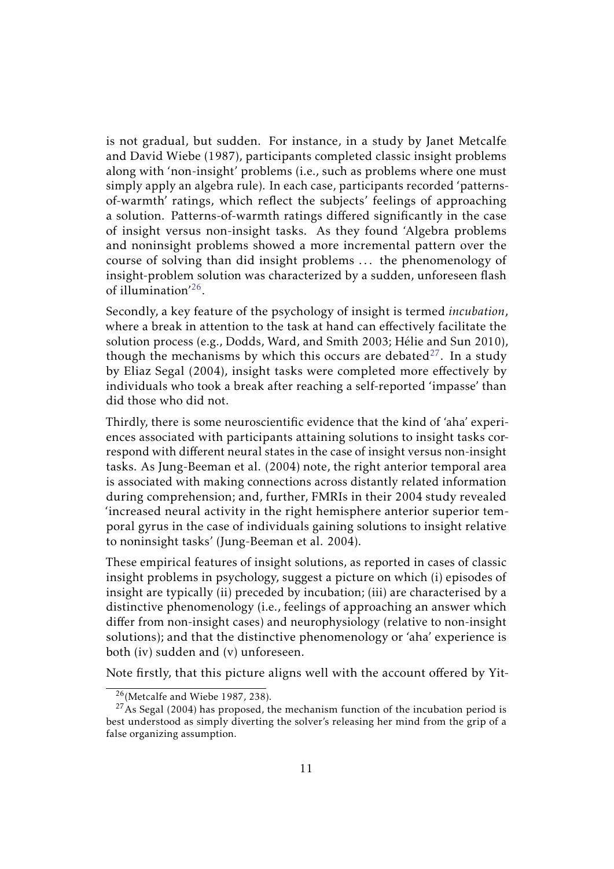is not gradual, but sudden. For instance, in a study by Janet Metcalfe and David Wiebe (1987), participants completed classic insight problems along with 'non-insight' problems (i.e., such as problems where one must simply apply an algebra rule). In each case, participants recorded 'patternsof-warmth' ratings, which reflect the subjects' feelings of approaching a solution. Patterns-of-warmth ratings differed significantly in the case of insight versus non-insight tasks. As they found 'Algebra problems and noninsight problems showed a more incremental pattern over the course of solving than did insight problems ... the phenomenology of insight-problem solution was characterized by a sudden, unforeseen flash of illumination<sup>'[26](#page-11-0)</sup>.

Secondly, a key feature of the psychology of insight is termed *incubation*, where a break in attention to the task at hand can effectively facilitate the solution process (e.g., Dodds, Ward, and Smith 2003; Hélie and Sun 2010), though the mechanisms by which this occurs are debated<sup>[27](#page-11-1)</sup>. In a study by Eliaz Segal (2004), insight tasks were completed more effectively by individuals who took a break after reaching a self-reported 'impasse' than did those who did not.

Thirdly, there is some neuroscientific evidence that the kind of 'aha' experiences associated with participants attaining solutions to insight tasks correspond with different neural states in the case of insight versus non-insight tasks. As Jung-Beeman et al. (2004) note, the right anterior temporal area is associated with making connections across distantly related information during comprehension; and, further, FMRIs in their 2004 study revealed 'increased neural activity in the right hemisphere anterior superior temporal gyrus in the case of individuals gaining solutions to insight relative to noninsight tasks' (Jung-Beeman et al. 2004).

These empirical features of insight solutions, as reported in cases of classic insight problems in psychology, suggest a picture on which (i) episodes of insight are typically (ii) preceded by incubation; (iii) are characterised by a distinctive phenomenology (i.e., feelings of approaching an answer which differ from non-insight cases) and neurophysiology (relative to non-insight solutions); and that the distinctive phenomenology or 'aha' experience is both (iv) sudden and (v) unforeseen.

Note firstly, that this picture aligns well with the account offered by Yit-

<span id="page-11-1"></span><span id="page-11-0"></span><sup>26</sup>(Metcalfe and Wiebe 1987, 238).

 $^{27}$ As Segal (2004) has proposed, the mechanism function of the incubation period is best understood as simply diverting the solver's releasing her mind from the grip of a false organizing assumption.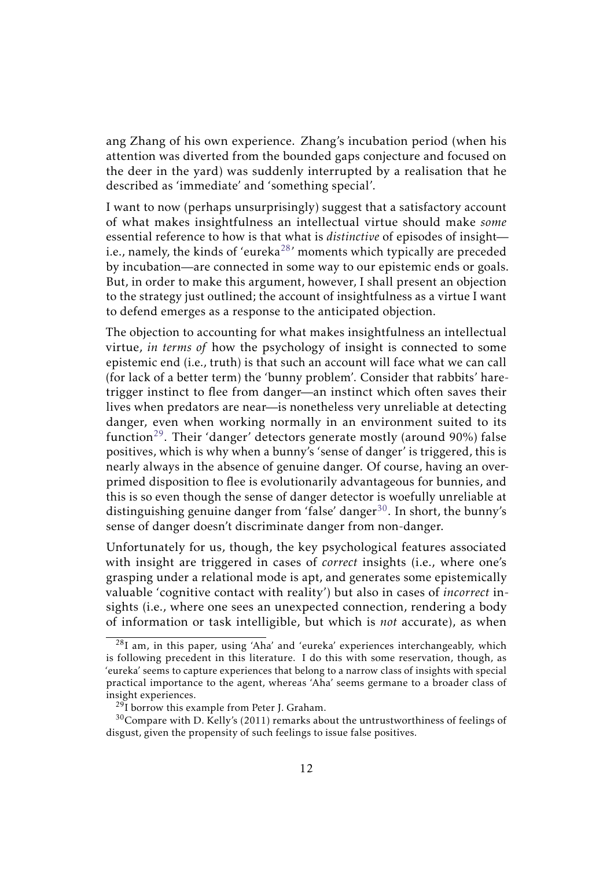ang Zhang of his own experience. Zhang's incubation period (when his attention was diverted from the bounded gaps conjecture and focused on the deer in the yard) was suddenly interrupted by a realisation that he described as 'immediate' and 'something special'.

I want to now (perhaps unsurprisingly) suggest that a satisfactory account of what makes insightfulness an intellectual virtue should make *some* essential reference to how is that what is *distinctive* of episodes of insight— i.e., namely, the kinds of 'eureka<sup>[28](#page-12-0)</sup>' moments which typically are preceded by incubation—are connected in some way to our epistemic ends or goals. But, in order to make this argument, however, I shall present an objection to the strategy just outlined; the account of insightfulness as a virtue I want to defend emerges as a response to the anticipated objection.

The objection to accounting for what makes insightfulness an intellectual virtue, *in terms of* how the psychology of insight is connected to some epistemic end (i.e., truth) is that such an account will face what we can call (for lack of a better term) the 'bunny problem'. Consider that rabbits' haretrigger instinct to flee from danger—an instinct which often saves their lives when predators are near—is nonetheless very unreliable at detecting danger, even when working normally in an environment suited to its function<sup>[29](#page-12-1)</sup>. Their 'danger' detectors generate mostly (around 90%) false positives, which is why when a bunny's 'sense of danger' is triggered, this is nearly always in the absence of genuine danger. Of course, having an overprimed disposition to flee is evolutionarily advantageous for bunnies, and this is so even though the sense of danger detector is woefully unreliable at distinguishing genuine danger from 'false' danger<sup>[30](#page-12-2)</sup>. In short, the bunny's sense of danger doesn't discriminate danger from non-danger.

Unfortunately for us, though, the key psychological features associated with insight are triggered in cases of *correct* insights (i.e., where one's grasping under a relational mode is apt, and generates some epistemically valuable 'cognitive contact with reality') but also in cases of *incorrect* insights (i.e., where one sees an unexpected connection, rendering a body of information or task intelligible, but which is *not* accurate), as when

<span id="page-12-0"></span><sup>28</sup>I am, in this paper, using 'Aha' and 'eureka' experiences interchangeably, which is following precedent in this literature. I do this with some reservation, though, as 'eureka' seems to capture experiences that belong to a narrow class of insights with special practical importance to the agent, whereas 'Aha' seems germane to a broader class of insight experiences.

<span id="page-12-2"></span><span id="page-12-1"></span> $^{29}$ I borrow this example from Peter J. Graham.

 $30$ Compare with D. Kelly's (2011) remarks about the untrustworthiness of feelings of disgust, given the propensity of such feelings to issue false positives.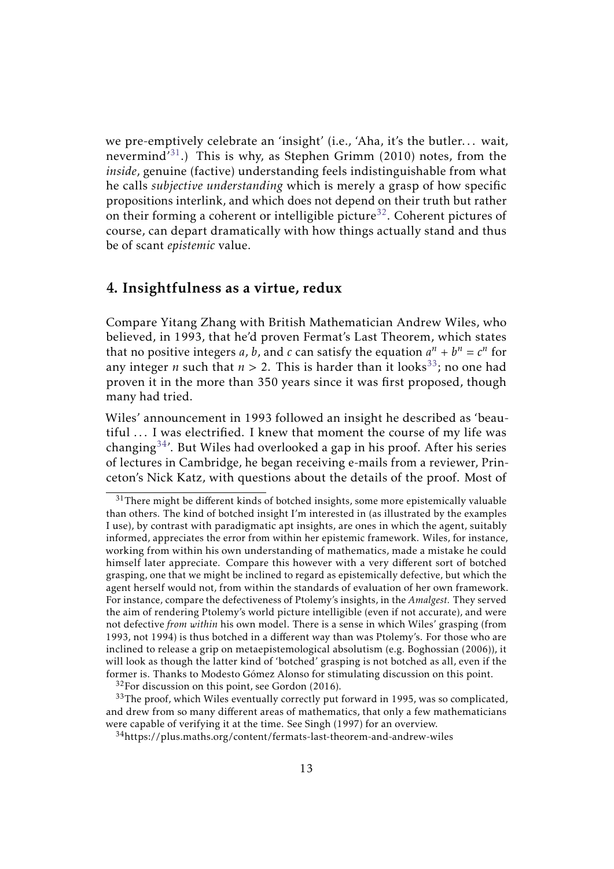we pre-emptively celebrate an 'insight' (i.e., 'Aha, it's the butler... wait, nevermind<sup> $31$ </sup>.) This is why, as Stephen Grimm (2010) notes, from the *inside*, genuine (factive) understanding feels indistinguishable from what he calls *subjective understanding* which is merely a grasp of how specific propositions interlink, and which does not depend on their truth but rather on their forming a coherent or intelligible picture<sup>[32](#page-13-1)</sup>. Coherent pictures of course, can depart dramatically with how things actually stand and thus be of scant *epistemic* value.

## 4. Insightfulness as a virtue, redux

Compare Yitang Zhang with British Mathematician Andrew Wiles, who believed, in 1993, that he'd proven Fermat's Last Theorem, which states that no positive integers *a*, *b*, and *c* can satisfy the equation  $a^n + b^n = c^n$  for any integer *n* such that  $n > 2$ . This is harder than it looks<sup>[33](#page-13-2)</sup>; no one had proven it in the more than 350 years since it was first proposed, though many had tried.

Wiles' announcement in 1993 followed an insight he described as 'beautiful ... I was electrified. I knew that moment the course of my life was changing<sup>[34](#page-13-3)</sup>'. But Wiles had overlooked a gap in his proof. After his series of lectures in Cambridge, he began receiving e-mails from a reviewer, Princeton's Nick Katz, with questions about the details of the proof. Most of

<span id="page-13-0"></span> $31$ There might be different kinds of botched insights, some more epistemically valuable than others. The kind of botched insight I'm interested in (as illustrated by the examples I use), by contrast with paradigmatic apt insights, are ones in which the agent, suitably informed, appreciates the error from within her epistemic framework. Wiles, for instance, working from within his own understanding of mathematics, made a mistake he could himself later appreciate. Compare this however with a very different sort of botched grasping, one that we might be inclined to regard as epistemically defective, but which the agent herself would not, from within the standards of evaluation of her own framework. For instance, compare the defectiveness of Ptolemy's insights, in the *Amalgest.* They served the aim of rendering Ptolemy's world picture intelligible (even if not accurate), and were not defective *from within* his own model. There is a sense in which Wiles' grasping (from 1993, not 1994) is thus botched in a different way than was Ptolemy's. For those who are inclined to release a grip on metaepistemological absolutism (e.g. Boghossian (2006)), it will look as though the latter kind of 'botched' grasping is not botched as all, even if the former is. Thanks to Modesto Gómez Alonso for stimulating discussion on this point.

<span id="page-13-2"></span><span id="page-13-1"></span> $32$ For discussion on this point, see Gordon (2016).

 $33$ The proof, which Wiles eventually correctly put forward in 1995, was so complicated, and drew from so many different areas of mathematics, that only a few mathematicians were capable of verifying it at the time. See Singh (1997) for an overview.

<span id="page-13-3"></span><sup>34</sup>https://plus.maths.org/content/fermats-last-theorem-and-andrew-wiles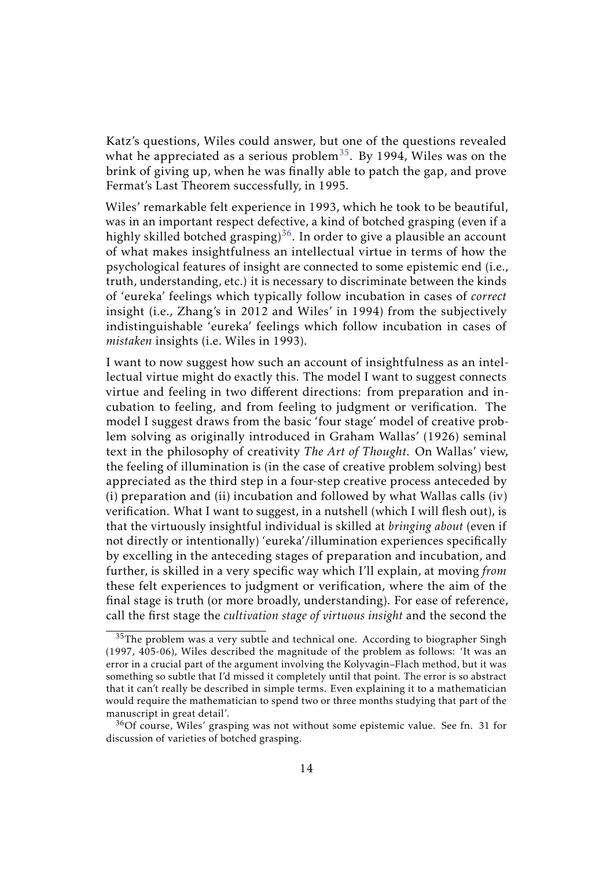Katz's questions, Wiles could answer, but one of the questions revealed what he appreciated as a serious problem<sup>[35](#page-14-0)</sup>. By 1994, Wiles was on the brink of giving up, when he was finally able to patch the gap, and prove Fermat's Last Theorem successfully, in 1995.

Wiles' remarkable felt experience in 1993, which he took to be beautiful, was in an important respect defective, a kind of botched grasping (even if a highly skilled botched grasping)<sup>[36](#page-14-1)</sup>. In order to give a plausible an account of what makes insightfulness an intellectual virtue in terms of how the psychological features of insight are connected to some epistemic end (i.e., truth, understanding, etc.) it is necessary to discriminate between the kinds of 'eureka' feelings which typically follow incubation in cases of *correct* insight (i.e., Zhang's in 2012 and Wiles' in 1994) from the subjectively indistinguishable 'eureka' feelings which follow incubation in cases of *mistaken* insights (i.e. Wiles in 1993).

I want to now suggest how such an account of insightfulness as an intellectual virtue might do exactly this. The model I want to suggest connects virtue and feeling in two different directions: from preparation and incubation to feeling, and from feeling to judgment or verification. The model I suggest draws from the basic 'four stage' model of creative problem solving as originally introduced in Graham Wallas' (1926) seminal text in the philosophy of creativity *The Art of Thought.* On Wallas' view, the feeling of illumination is (in the case of creative problem solving) best appreciated as the third step in a four-step creative process anteceded by (i) preparation and (ii) incubation and followed by what Wallas calls (iv) verification. What I want to suggest, in a nutshell (which I will flesh out), is that the virtuously insightful individual is skilled at *bringing about* (even if not directly or intentionally) 'eureka'/illumination experiences specifically by excelling in the anteceding stages of preparation and incubation, and further, is skilled in a very specific way which I'll explain, at moving *from* these felt experiences to judgment or verification, where the aim of the final stage is truth (or more broadly, understanding). For ease of reference, call the first stage the *cultivation stage of virtuous insight* and the second the

<span id="page-14-0"></span><sup>&</sup>lt;sup>35</sup>The problem was a very subtle and technical one. According to biographer Singh (1997, 405-06), Wiles described the magnitude of the problem as follows: 'It was an error in a crucial part of the argument involving the Kolyvagin–Flach method, but it was something so subtle that I'd missed it completely until that point. The error is so abstract that it can't really be described in simple terms. Even explaining it to a mathematician would require the mathematician to spend two or three months studying that part of the manuscript in great detail'.

<span id="page-14-1"></span> $36$ Of course, Wiles' grasping was not without some epistemic value. See fn. 31 for discussion of varieties of botched grasping.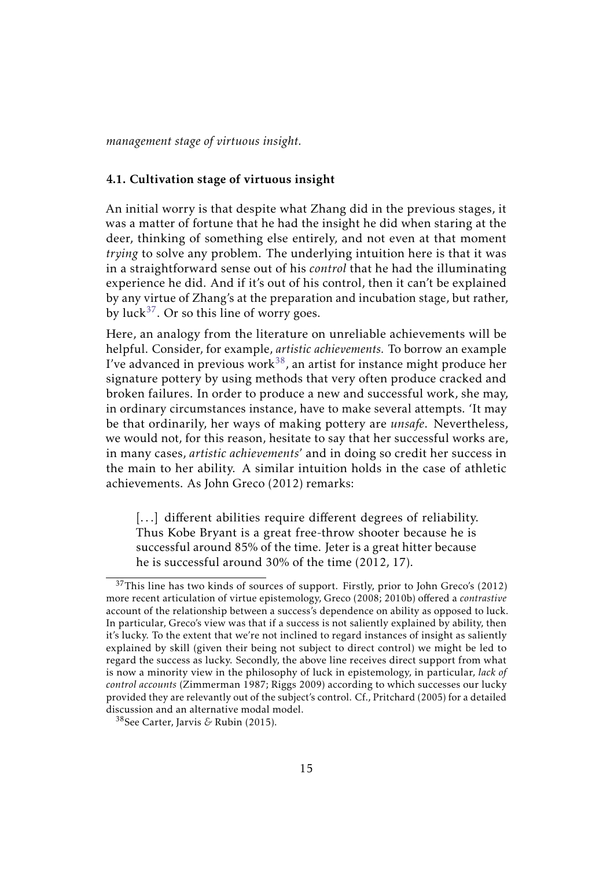*management stage of virtuous insight.*

#### 4.1. Cultivation stage of virtuous insight

An initial worry is that despite what Zhang did in the previous stages, it was a matter of fortune that he had the insight he did when staring at the deer, thinking of something else entirely, and not even at that moment *trying* to solve any problem. The underlying intuition here is that it was in a straightforward sense out of his *control* that he had the illuminating experience he did. And if it's out of his control, then it can't be explained by any virtue of Zhang's at the preparation and incubation stage, but rather, by luck<sup>[37](#page-15-0)</sup>. Or so this line of worry goes.

Here, an analogy from the literature on unreliable achievements will be helpful. Consider, for example, *artistic achievements.* To borrow an example I've advanced in previous work<sup>[38](#page-15-1)</sup>, an artist for instance might produce her signature pottery by using methods that very often produce cracked and broken failures. In order to produce a new and successful work, she may, in ordinary circumstances instance, have to make several attempts. 'It may be that ordinarily, her ways of making pottery are *unsafe*. Nevertheless, we would not, for this reason, hesitate to say that her successful works are, in many cases, *artistic achievements*' and in doing so credit her success in the main to her ability. A similar intuition holds in the case of athletic achievements. As John Greco (2012) remarks:

[...] different abilities require different degrees of reliability. Thus Kobe Bryant is a great free-throw shooter because he is successful around 85% of the time. Jeter is a great hitter because he is successful around 30% of the time (2012, 17).

<span id="page-15-0"></span> $37$ This line has two kinds of sources of support. Firstly, prior to John Greco's (2012) more recent articulation of virtue epistemology, Greco (2008; 2010b) offered a *contrastive* account of the relationship between a success's dependence on ability as opposed to luck. In particular, Greco's view was that if a success is not saliently explained by ability, then it's lucky. To the extent that we're not inclined to regard instances of insight as saliently explained by skill (given their being not subject to direct control) we might be led to regard the success as lucky. Secondly, the above line receives direct support from what is now a minority view in the philosophy of luck in epistemology, in particular, *lack of control accounts* (Zimmerman 1987; Riggs 2009) according to which successes our lucky provided they are relevantly out of the subject's control. Cf., Pritchard (2005) for a detailed discussion and an alternative modal model.

<span id="page-15-1"></span><sup>38</sup>See Carter, Jarvis *&* Rubin (2015).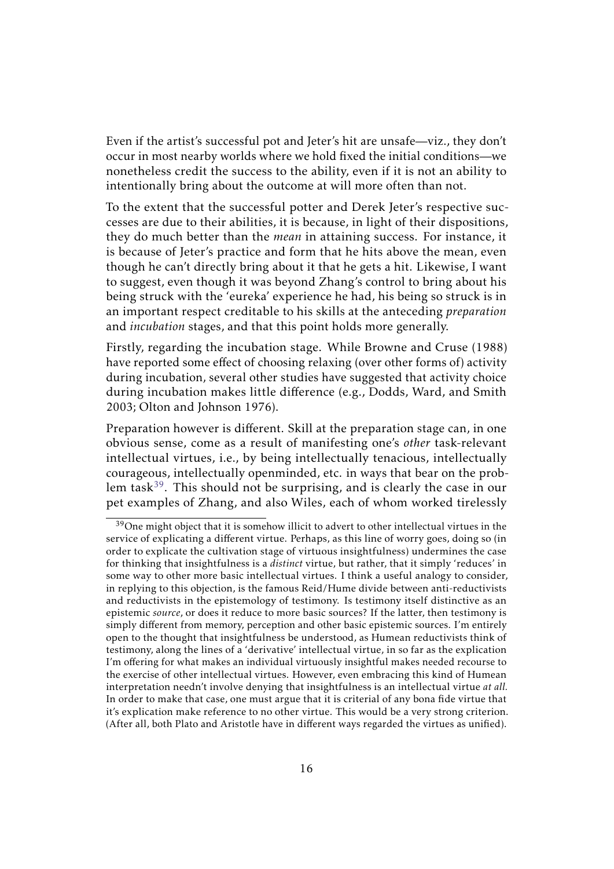Even if the artist's successful pot and Jeter's hit are unsafe—viz., they don't occur in most nearby worlds where we hold fixed the initial conditions—we nonetheless credit the success to the ability, even if it is not an ability to intentionally bring about the outcome at will more often than not.

To the extent that the successful potter and Derek Jeter's respective successes are due to their abilities, it is because, in light of their dispositions, they do much better than the *mean* in attaining success. For instance, it is because of Jeter's practice and form that he hits above the mean, even though he can't directly bring about it that he gets a hit. Likewise, I want to suggest, even though it was beyond Zhang's control to bring about his being struck with the 'eureka' experience he had, his being so struck is in an important respect creditable to his skills at the anteceding *preparation* and *incubation* stages, and that this point holds more generally.

Firstly, regarding the incubation stage. While Browne and Cruse (1988) have reported some effect of choosing relaxing (over other forms of) activity during incubation, several other studies have suggested that activity choice during incubation makes little difference (e.g., Dodds, Ward, and Smith 2003; Olton and Johnson 1976).

Preparation however is different. Skill at the preparation stage can, in one obvious sense, come as a result of manifesting one's *other* task-relevant intellectual virtues, i.e., by being intellectually tenacious, intellectually courageous, intellectually openminded, etc. in ways that bear on the prob-lem task<sup>[39](#page-16-0)</sup>. This should not be surprising, and is clearly the case in our pet examples of Zhang, and also Wiles, each of whom worked tirelessly

<span id="page-16-0"></span><sup>39</sup>One might object that it is somehow illicit to advert to other intellectual virtues in the service of explicating a different virtue. Perhaps, as this line of worry goes, doing so (in order to explicate the cultivation stage of virtuous insightfulness) undermines the case for thinking that insightfulness is a *distinct* virtue, but rather, that it simply 'reduces' in some way to other more basic intellectual virtues. I think a useful analogy to consider, in replying to this objection, is the famous Reid/Hume divide between anti-reductivists and reductivists in the epistemology of testimony. Is testimony itself distinctive as an epistemic *source*, or does it reduce to more basic sources? If the latter, then testimony is simply different from memory, perception and other basic epistemic sources. I'm entirely open to the thought that insightfulness be understood, as Humean reductivists think of testimony, along the lines of a 'derivative' intellectual virtue, in so far as the explication I'm offering for what makes an individual virtuously insightful makes needed recourse to the exercise of other intellectual virtues. However, even embracing this kind of Humean interpretation needn't involve denying that insightfulness is an intellectual virtue *at all.* In order to make that case, one must argue that it is criterial of any bona fide virtue that it's explication make reference to no other virtue. This would be a very strong criterion. (After all, both Plato and Aristotle have in different ways regarded the virtues as unified).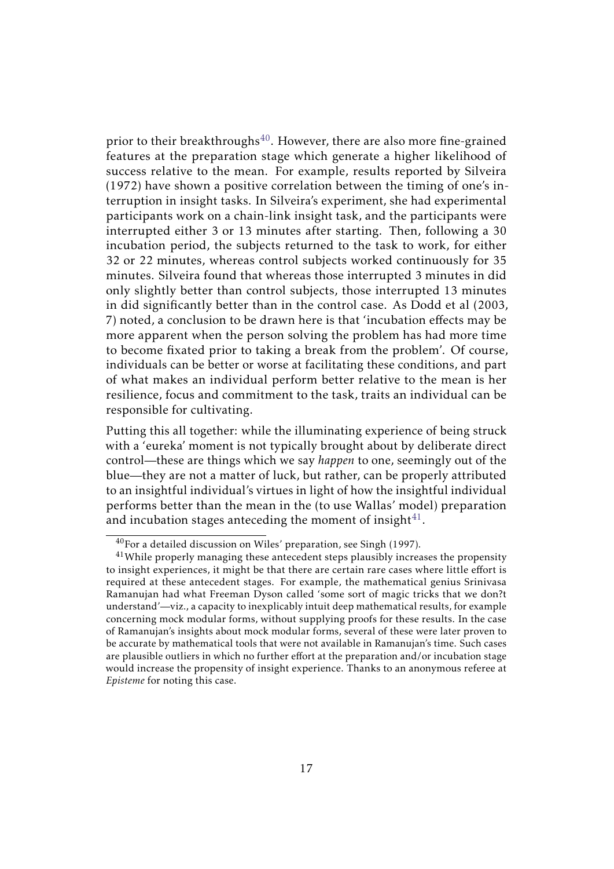prior to their breakthroughs<sup> $40$ </sup>. However, there are also more fine-grained features at the preparation stage which generate a higher likelihood of success relative to the mean. For example, results reported by Silveira (1972) have shown a positive correlation between the timing of one's interruption in insight tasks. In Silveira's experiment, she had experimental participants work on a chain-link insight task, and the participants were interrupted either 3 or 13 minutes after starting. Then, following a 30 incubation period, the subjects returned to the task to work, for either 32 or 22 minutes, whereas control subjects worked continuously for 35 minutes. Silveira found that whereas those interrupted 3 minutes in did only slightly better than control subjects, those interrupted 13 minutes in did significantly better than in the control case. As Dodd et al (2003, 7) noted, a conclusion to be drawn here is that 'incubation effects may be more apparent when the person solving the problem has had more time to become fixated prior to taking a break from the problem'. Of course, individuals can be better or worse at facilitating these conditions, and part of what makes an individual perform better relative to the mean is her resilience, focus and commitment to the task, traits an individual can be responsible for cultivating.

Putting this all together: while the illuminating experience of being struck with a 'eureka' moment is not typically brought about by deliberate direct control—these are things which we say *happen* to one, seemingly out of the blue—they are not a matter of luck, but rather, can be properly attributed to an insightful individual's virtues in light of how the insightful individual performs better than the mean in the (to use Wallas' model) preparation and incubation stages anteceding the moment of insight $^{\rm 41}.$  $^{\rm 41}.$  $^{\rm 41}.$ 

<span id="page-17-1"></span><span id="page-17-0"></span> $^{40}$  For a detailed discussion on Wiles' preparation, see Singh (1997).

 $41$ While properly managing these antecedent steps plausibly increases the propensity to insight experiences, it might be that there are certain rare cases where little effort is required at these antecedent stages. For example, the mathematical genius Srinivasa Ramanujan had what Freeman Dyson called 'some sort of magic tricks that we don?t understand'—viz., a capacity to inexplicably intuit deep mathematical results, for example concerning mock modular forms, without supplying proofs for these results. In the case of Ramanujan's insights about mock modular forms, several of these were later proven to be accurate by mathematical tools that were not available in Ramanujan's time. Such cases are plausible outliers in which no further effort at the preparation and/or incubation stage would increase the propensity of insight experience. Thanks to an anonymous referee at *Episteme* for noting this case.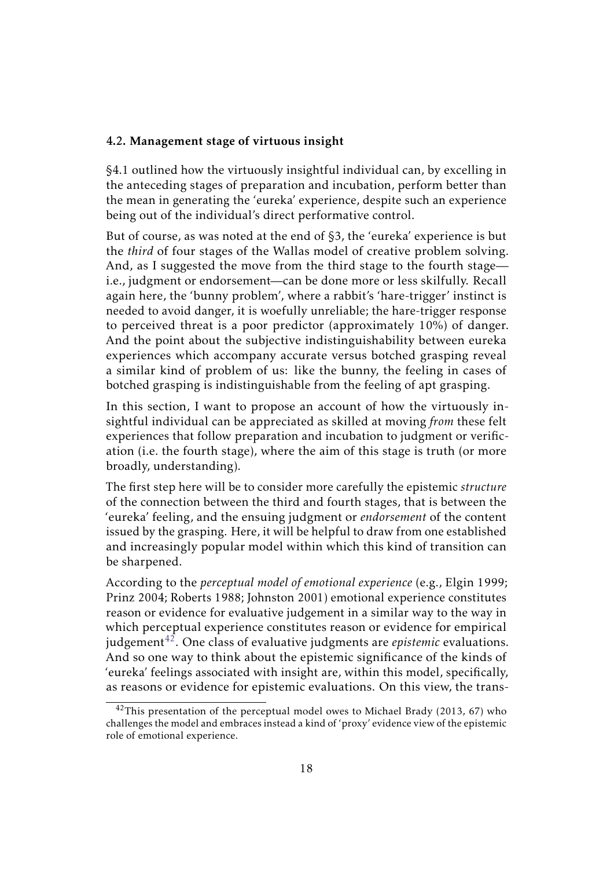#### 4.2. Management stage of virtuous insight

§4.1 outlined how the virtuously insightful individual can, by excelling in the anteceding stages of preparation and incubation, perform better than the mean in generating the 'eureka' experience, despite such an experience being out of the individual's direct performative control.

But of course, as was noted at the end of §3, the 'eureka' experience is but the *third* of four stages of the Wallas model of creative problem solving. And, as I suggested the move from the third stage to the fourth stage i.e., judgment or endorsement—can be done more or less skilfully. Recall again here, the 'bunny problem', where a rabbit's 'hare-trigger' instinct is needed to avoid danger, it is woefully unreliable; the hare-trigger response to perceived threat is a poor predictor (approximately 10%) of danger. And the point about the subjective indistinguishability between eureka experiences which accompany accurate versus botched grasping reveal a similar kind of problem of us: like the bunny, the feeling in cases of botched grasping is indistinguishable from the feeling of apt grasping.

In this section, I want to propose an account of how the virtuously insightful individual can be appreciated as skilled at moving *from* these felt experiences that follow preparation and incubation to judgment or verification (i.e. the fourth stage), where the aim of this stage is truth (or more broadly, understanding).

The first step here will be to consider more carefully the epistemic *structure* of the connection between the third and fourth stages, that is between the 'eureka' feeling, and the ensuing judgment or *endorsement* of the content issued by the grasping. Here, it will be helpful to draw from one established and increasingly popular model within which this kind of transition can be sharpened.

According to the *perceptual model of emotional experience* (e.g., Elgin 1999; Prinz 2004; Roberts 1988; Johnston 2001) emotional experience constitutes reason or evidence for evaluative judgement in a similar way to the way in which perceptual experience constitutes reason or evidence for empirical judgement<sup>[42](#page-18-0)</sup>. One class of evaluative judgments are *epistemic* evaluations. And so one way to think about the epistemic significance of the kinds of 'eureka' feelings associated with insight are, within this model, specifically, as reasons or evidence for epistemic evaluations. On this view, the trans-

<span id="page-18-0"></span> $42$ This presentation of the perceptual model owes to Michael Brady (2013, 67) who challenges the model and embraces instead a kind of 'proxy' evidence view of the epistemic role of emotional experience.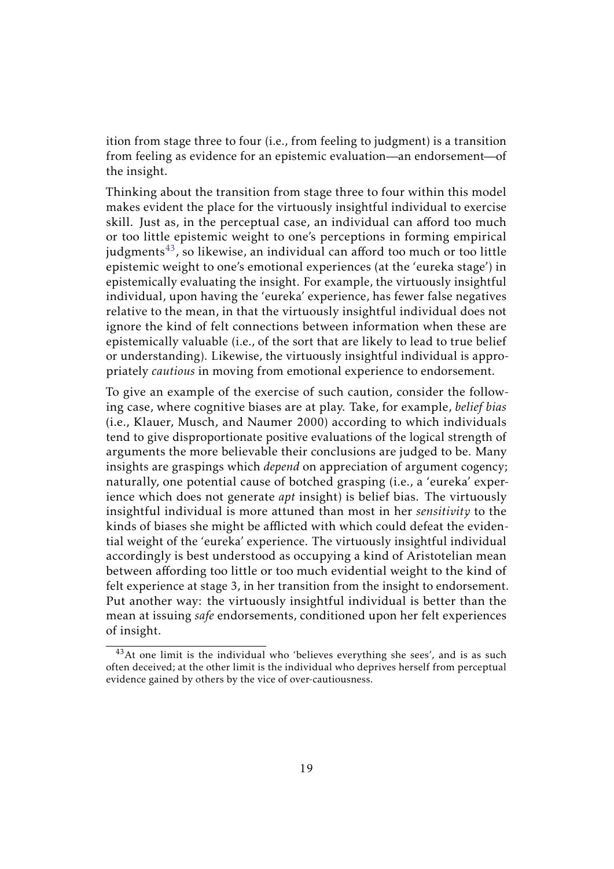ition from stage three to four (i.e., from feeling to judgment) is a transition from feeling as evidence for an epistemic evaluation—an endorsement—of the insight.

Thinking about the transition from stage three to four within this model makes evident the place for the virtuously insightful individual to exercise skill. Just as, in the perceptual case, an individual can afford too much or too little epistemic weight to one's perceptions in forming empirical judgments $43$ , so likewise, an individual can afford too much or too little epistemic weight to one's emotional experiences (at the 'eureka stage') in epistemically evaluating the insight. For example, the virtuously insightful individual, upon having the 'eureka' experience, has fewer false negatives relative to the mean, in that the virtuously insightful individual does not ignore the kind of felt connections between information when these are epistemically valuable (i.e., of the sort that are likely to lead to true belief or understanding). Likewise, the virtuously insightful individual is appropriately *cautious* in moving from emotional experience to endorsement.

To give an example of the exercise of such caution, consider the following case, where cognitive biases are at play. Take, for example, *belief bias* (i.e., Klauer, Musch, and Naumer 2000) according to which individuals tend to give disproportionate positive evaluations of the logical strength of arguments the more believable their conclusions are judged to be. Many insights are graspings which *depend* on appreciation of argument cogency; naturally, one potential cause of botched grasping (i.e., a 'eureka' experience which does not generate *apt* insight) is belief bias. The virtuously insightful individual is more attuned than most in her *sensitivity* to the kinds of biases she might be afflicted with which could defeat the evidential weight of the 'eureka' experience. The virtuously insightful individual accordingly is best understood as occupying a kind of Aristotelian mean between affording too little or too much evidential weight to the kind of felt experience at stage 3, in her transition from the insight to endorsement. Put another way: the virtuously insightful individual is better than the mean at issuing *safe* endorsements, conditioned upon her felt experiences of insight.

<span id="page-19-0"></span><sup>43</sup>At one limit is the individual who 'believes everything she sees', and is as such often deceived; at the other limit is the individual who deprives herself from perceptual evidence gained by others by the vice of over-cautiousness.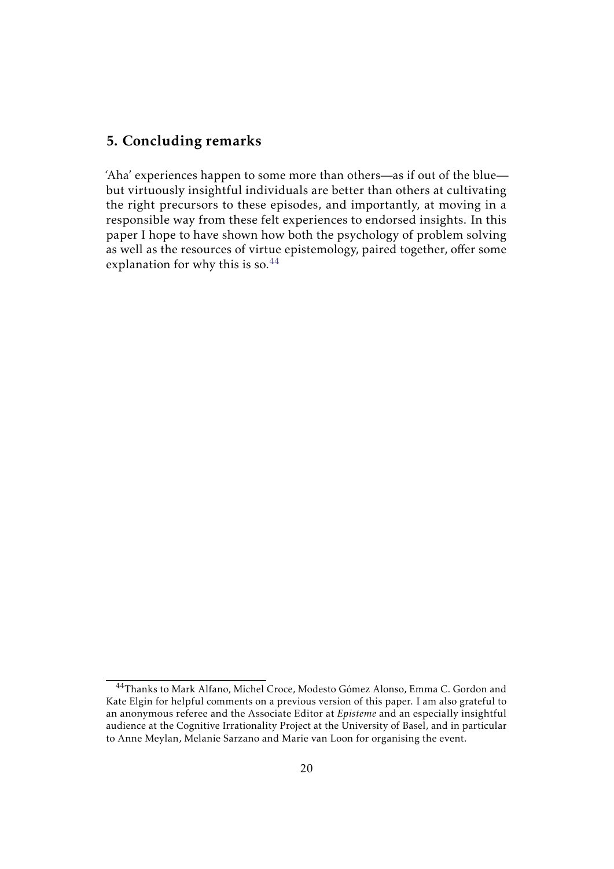## 5. Concluding remarks

'Aha' experiences happen to some more than others—as if out of the blue but virtuously insightful individuals are better than others at cultivating the right precursors to these episodes, and importantly, at moving in a responsible way from these felt experiences to endorsed insights. In this paper I hope to have shown how both the psychology of problem solving as well as the resources of virtue epistemology, paired together, offer some explanation for why this is so.<sup>[44](#page-20-0)</sup>

<span id="page-20-0"></span><sup>44</sup>Thanks to Mark Alfano, Michel Croce, Modesto Gómez Alonso, Emma C. Gordon and Kate Elgin for helpful comments on a previous version of this paper. I am also grateful to an anonymous referee and the Associate Editor at *Episteme* and an especially insightful audience at the Cognitive Irrationality Project at the University of Basel, and in particular to Anne Meylan, Melanie Sarzano and Marie van Loon for organising the event.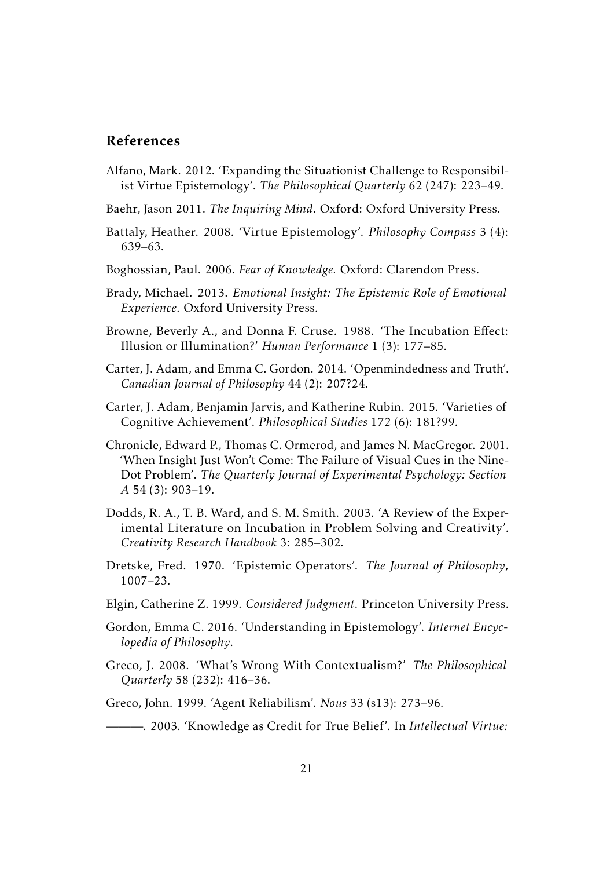## References

- Alfano, Mark. 2012. 'Expanding the Situationist Challenge to Responsibilist Virtue Epistemology'. *The Philosophical Quarterly* 62 (247): 223–49.
- Baehr, Jason 2011. *The Inquiring Mind*. Oxford: Oxford University Press.
- Battaly, Heather. 2008. 'Virtue Epistemology'. *Philosophy Compass* 3 (4): 639–63.
- Boghossian, Paul. 2006. *Fear of Knowledge.* Oxford: Clarendon Press.
- Brady, Michael. 2013. *Emotional Insight: The Epistemic Role of Emotional Experience*. Oxford University Press.
- Browne, Beverly A., and Donna F. Cruse. 1988. 'The Incubation Effect: Illusion or Illumination?' *Human Performance* 1 (3): 177–85.
- Carter, J. Adam, and Emma C. Gordon. 2014. 'Openmindedness and Truth'. *Canadian Journal of Philosophy* 44 (2): 207?24.
- Carter, J. Adam, Benjamin Jarvis, and Katherine Rubin. 2015. 'Varieties of Cognitive Achievement'. *Philosophical Studies* 172 (6): 181?99.
- Chronicle, Edward P., Thomas C. Ormerod, and James N. MacGregor. 2001. 'When Insight Just Won't Come: The Failure of Visual Cues in the Nine-Dot Problem'. *The Quarterly Journal of Experimental Psychology: Section A* 54 (3): 903–19.
- Dodds, R. A., T. B. Ward, and S. M. Smith. 2003. 'A Review of the Experimental Literature on Incubation in Problem Solving and Creativity'. *Creativity Research Handbook* 3: 285–302.
- Dretske, Fred. 1970. 'Epistemic Operators'. *The Journal of Philosophy*, 1007–23.
- Elgin, Catherine Z. 1999. *Considered Judgment*. Princeton University Press.
- Gordon, Emma C. 2016. 'Understanding in Epistemology'. *Internet Encyclopedia of Philosophy*.
- Greco, J. 2008. 'What's Wrong With Contextualism?' *The Philosophical Quarterly* 58 (232): 416–36.
- Greco, John. 1999. 'Agent Reliabilism'. *Nous* 33 (s13): 273–96.

———. 2003. 'Knowledge as Credit for True Belief'. In *Intellectual Virtue:*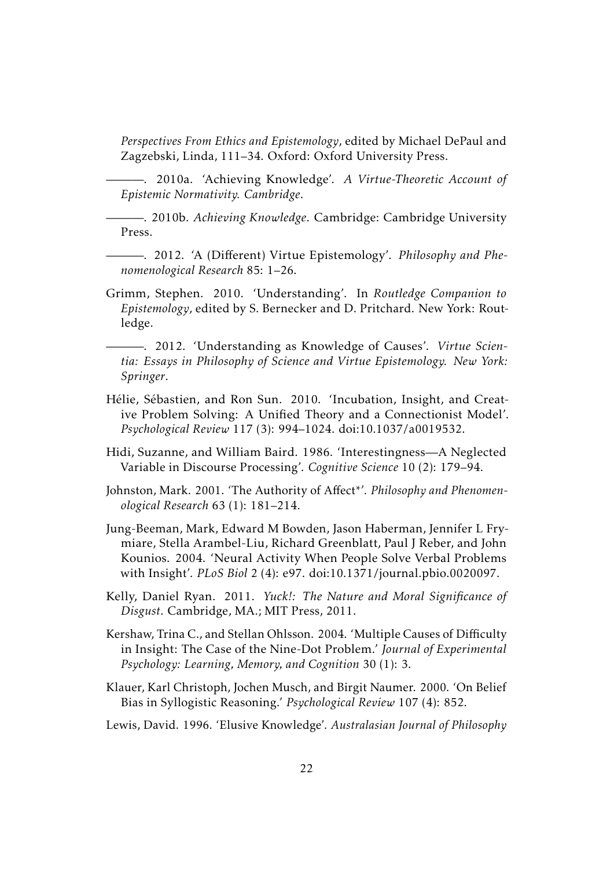*Perspectives From Ethics and Epistemology*, edited by Michael DePaul and Zagzebski, Linda, 111–34. Oxford: Oxford University Press.

———. 2010a. 'Achieving Knowledge'. *A Virtue-Theoretic Account of Epistemic Normativity. Cambridge*.

———. 2010b. *Achieving Knowledge*. Cambridge: Cambridge University Press.

———. 2012. 'A (Different) Virtue Epistemology'. *Philosophy and Phenomenological Research* 85: 1–26.

Grimm, Stephen. 2010. 'Understanding'. In *Routledge Companion to Epistemology*, edited by S. Bernecker and D. Pritchard. New York: Routledge.

———. 2012. 'Understanding as Knowledge of Causes'. *Virtue Scientia: Essays in Philosophy of Science and Virtue Epistemology. New York: Springer*.

- Hélie, Sébastien, and Ron Sun. 2010. 'Incubation, Insight, and Creative Problem Solving: A Unified Theory and a Connectionist Model'. *Psychological Review* 117 (3): 994–1024. doi:10.1037/a0019532.
- Hidi, Suzanne, and William Baird. 1986. 'Interestingness—A Neglected Variable in Discourse Processing'. *Cognitive Science* 10 (2): 179–94.
- Johnston, Mark. 2001. 'The Authority of Affect\*'. *Philosophy and Phenomenological Research* 63 (1): 181–214.
- Jung-Beeman, Mark, Edward M Bowden, Jason Haberman, Jennifer L Frymiare, Stella Arambel-Liu, Richard Greenblatt, Paul J Reber, and John Kounios. 2004. 'Neural Activity When People Solve Verbal Problems with Insight'. *PLoS Biol* 2 (4): e97. doi:10.1371/journal.pbio.0020097.
- Kelly, Daniel Ryan. 2011. *Yuck!: The Nature and Moral Significance of Disgust*. Cambridge, MA.; MIT Press, 2011.
- Kershaw, Trina C., and Stellan Ohlsson. 2004. 'Multiple Causes of Difficulty in Insight: The Case of the Nine-Dot Problem.' *Journal of Experimental Psychology: Learning, Memory, and Cognition* 30 (1): 3.
- Klauer, Karl Christoph, Jochen Musch, and Birgit Naumer. 2000. 'On Belief Bias in Syllogistic Reasoning.' *Psychological Review* 107 (4): 852.
- Lewis, David. 1996. 'Elusive Knowledge'. *Australasian Journal of Philosophy*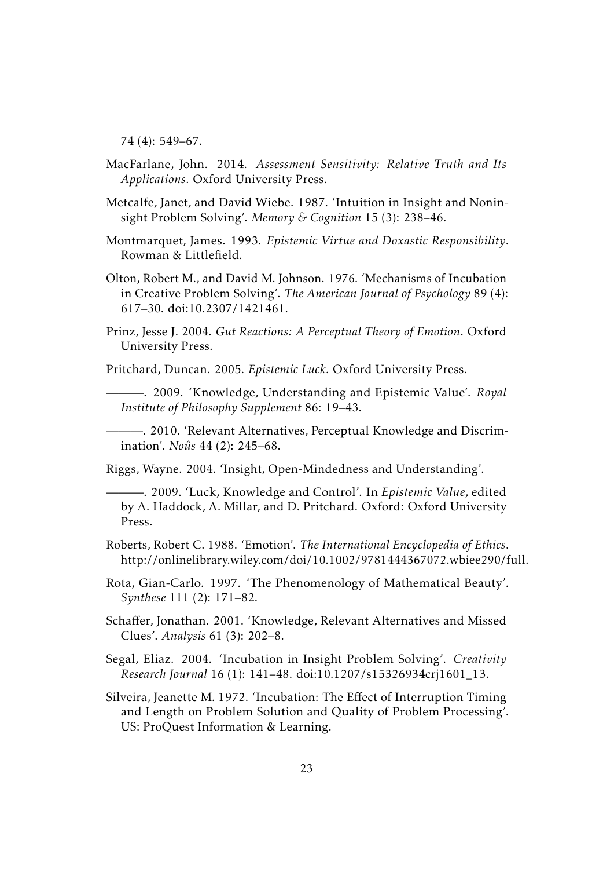74 (4): 549–67.

- MacFarlane, John. 2014. *Assessment Sensitivity: Relative Truth and Its Applications*. Oxford University Press.
- Metcalfe, Janet, and David Wiebe. 1987. 'Intuition in Insight and Noninsight Problem Solving'. *Memory & Cognition* 15 (3): 238–46.
- Montmarquet, James. 1993. *Epistemic Virtue and Doxastic Responsibility*. Rowman & Littlefield.
- Olton, Robert M., and David M. Johnson. 1976. 'Mechanisms of Incubation in Creative Problem Solving'. *The American Journal of Psychology* 89 (4): 617–30. doi:10.2307/1421461.
- Prinz, Jesse J. 2004. *Gut Reactions: A Perceptual Theory of Emotion*. Oxford University Press.
- Pritchard, Duncan. 2005. *Epistemic Luck*. Oxford University Press.

———. 2009. 'Knowledge, Understanding and Epistemic Value'. *Royal Institute of Philosophy Supplement* 86: 19–43.

———. 2010. 'Relevant Alternatives, Perceptual Knowledge and Discrimination'. *Noûs* 44 (2): 245–68.

- Riggs, Wayne. 2004. 'Insight, Open-Mindedness and Understanding'.
- ———. 2009. 'Luck, Knowledge and Control'. In *Epistemic Value*, edited by A. Haddock, A. Millar, and D. Pritchard. Oxford: Oxford University Press.
- Roberts, Robert C. 1988. 'Emotion'. *The International Encyclopedia of Ethics*. http://onlinelibrary.wiley.com/doi/10.1002/9781444367072.wbiee290/full.
- Rota, Gian-Carlo. 1997. 'The Phenomenology of Mathematical Beauty'. *Synthese* 111 (2): 171–82.
- Schaffer, Jonathan. 2001. 'Knowledge, Relevant Alternatives and Missed Clues'. *Analysis* 61 (3): 202–8.
- Segal, Eliaz. 2004. 'Incubation in Insight Problem Solving'. *Creativity Research Journal* 16 (1): 141–48. doi:10.1207/s15326934crj1601\_13.
- Silveira, Jeanette M. 1972. 'Incubation: The Effect of Interruption Timing and Length on Problem Solution and Quality of Problem Processing'. US: ProQuest Information & Learning.